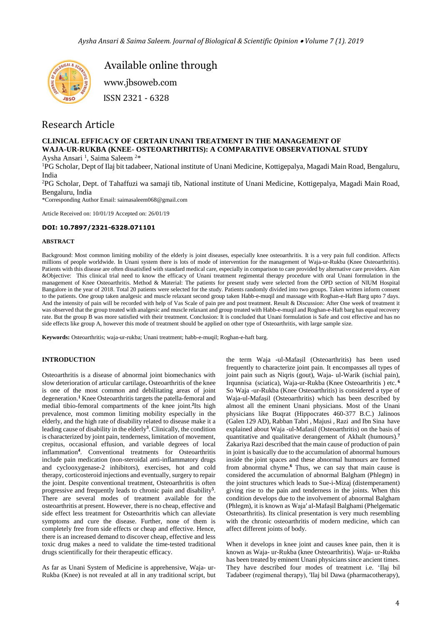

Available online through

 [www.jbsoweb.com](http://www.jbsoweb.com/) ISSN 2321 - 6328

# Research Article

# **CLINICAL EFFICACY OF CERTAIN UNANI TREATMENT IN THE MANAGEMENT OF WAJA-UR-RUKBA (KNEE- OSTEOARTHRITIS): A COMPARATIVE OBSERVATIONAL STUDY** Aysha Ansari<sup>1</sup>, Saima Saleem<sup>2\*</sup>

<sup>1</sup>PG Scholar, Dept of Ilaj bit tadabeer, National institute of Unani Medicine, Kottigepalya, Magadi Main Road, Bengaluru, India

<sup>2</sup>PG Scholar, Dept. of Tahaffuzi wa samaji tib, National institute of Unani Medicine, Kottigepalya, Magadi Main Road, Bengaluru, India

\*Corresponding Author Email: saimasaleem068@gmail.com

Article Received on: 10/01/19 Accepted on: 26/01/19

# **DOI: 10.7897/2321-6328.071101**

### **ABSTRACT**

Background: Most common limiting mobility of the elderly is joint diseases, especially knee osteoarthritis. It is a very pain full condition. Affects millions of people worldwide. In Unani system there is lots of mode of intervention for the management of Waja-ur-Rukba (Knee Osteoarthritis). Patients with this disease are often dissatisfied with standard medical care, especially in comparison to care provided by alternative care providers. Aim &Objective: This clinical trial need to know the efficacy of Unani treatment regimental therapy procedure with oral Unani formulation in the management of Knee Osteoarthritis. Method & Material: The patients for present study were selected from the OPD section of NIUM Hospital Bangalore in the year of 2018. Total 20 patients were selected for the study. Patients randomly divided into two groups. Taken written inform consent to the patients. One group taken analgesic and muscle relaxant second group taken Habb-e-muqil and massage with Roghan-e-Haft Barg upto 7 days. And the intensity of pain will be recorded with help of Vas Scale of pain pre and post treatment. Result & Discussion: After One week of treatment it was observed that the group treated with analgesic and muscle relaxant and group treated with Habb-e-muqil and Roghan-e-Haft barg has equal recovery rate. But the group B was more satisfied with their treatment. Conclusion: It is concluded that Unani formulation is Safe and cost effective and has no side effects like group A, however this mode of treatment should be applied on other type of Osteoarthritis, with large sample size.

**Keywords:** Osteoarthritis; waja-ur-rukba; Unani treatment; habb-e-muqil; Roghan-e-haft barg.

# **INTRODUCTION**

Osteoarthritis is a disease of abnormal joint biomechanics with slow deterioration of articular cartilage**.** Osteoarthritis of the knee is one of the most common and debilitating areas of joint degeneration.**<sup>1</sup>** Knee Osteoarthritis targets the patella-femoral and medial tibio-femoral compartments of the knee joint.<sup>2</sup>Its high prevalence, most common limiting mobility especially in the elderly, and the high rate of disability related to disease make it a leading cause of disability in the elderly**<sup>3</sup>** . Clinically, the condition is characterized by joint pain, tenderness, limitation of movement, crepitus, occasional effusion, and variable degrees of local inflammation**<sup>4</sup>** . Conventional treatments for Osteoarthritis include pain medication (non-steroidal anti-inflammatory drugs and cyclooxygenase-2 inhibitors), exercises, hot and cold therapy, corticosteroid injections and eventually, surgery to repair the joint. Despite conventional treatment, Osteoarthritis is often progressive and frequently leads to chronic pain and disability**<sup>5</sup>** . There are several modes of treatment available for the osteoarthritis at present. However, there is no cheap, effective and side effect less treatment for Osteoarthritis which can alleviate symptoms and cure the disease. Further, none of them is completely free from side effects or cheap and effective. Hence, there is an increased demand to discover cheap, effective and less toxic drug makes a need to validate the time-tested traditional drugs scientifically for their therapeutic efficacy.

As far as Unani System of Medicine is apprehensive, Waja- ur-Rukba (Knee) is not revealed at all in any traditional script, but

the term Waja -ul-Mafaṣil (Osteoarthritis) has been used frequently to characterize joint pain. It encompasses all types of joint pain such as Niqris (gout), Waja- ul-Warik (ischial pain), Irqunnisa (sciatica), Waja-ur-Rukba (Knee Osteoarthritis ) etc. **<sup>6</sup>** So Waja -ur-Rukba (Knee Osteoarthritis) is considered a type of Waja-ul-Mafaṣil (Osteoarthritis) which has been described by almost all the eminent Unani physicians. Most of the Unani physicians like Buqrat (Hippocrates 460-377 B.C.) Jalinoos (Galen 129 AD), Rabban Tabri , Majusi , Razi and Ibn Sina have explained about Waja -ul-Mafasil (Osteoarthritis) on the basis of quantitative and qualitative derangement of Akhalt (humours).**<sup>7</sup>** Zakariya Razi described that the main cause of production of pain in joint is basically due to the accumulation of abnormal humours inside the joint spaces and these abnormal humours are formed from abnormal chyme.**<sup>6</sup>** Thus, we can say that main cause is considered the accumulation of abnormal Balgham (Phlegm) in the joint structures which leads to Sue-i-Mizaj (distemperament) giving rise to the pain and tenderness in the joints. When this condition develops due to the involvement of abnormal Balgham (Phlegm), it is known as Wajaʹ al-Mafaṣil Balghami (Phelgematic Osteoarthritis). Its clinical presentation is very much resembling with the chronic osteoarthritis of modern medicine, which can affect different joints of body.

When it develops in knee joint and causes knee pain, then it is known as Waja- ur-Rukba (knee Osteoarthritis). Waja- ur-Rukba has been treated by eminent Unani physicians since ancient times. They have described four modes of treatment i.e. 'Ilaj bil Tadabeer (regimenal therapy), 'Ilaj bil Dawa (pharmacotherapy),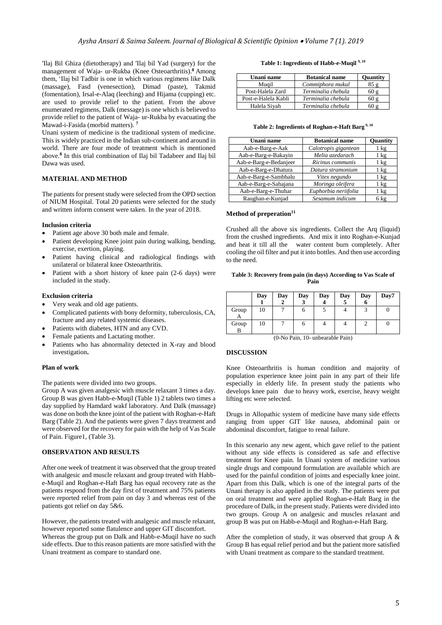ʹIlaj Bil Ghiza (dietotherapy) and ʹIlaj bil Yad (surgery) for the management of Waja- ur-Rukba (Knee Osteoarthritis). **<sup>8</sup>**Among them, 'Ilaj bil Tadbir is one in which various regimens like Dalk (massage), Fasd (venesection), Dimad (paste), Takmid (fomentation), Irsal-e-Alaq (leeching) and Hijama (cupping) etc. are used to provide relief to the patient. From the above enumerated regimens, Dalk (message) is one which is believed to provide relief to the patient of Waja- ur-Rukba by evacuating the Mawad-i-Fasida (morbid matters). **<sup>7</sup>**

Unani system of medicine is the traditional system of medicine. This is widely practiced in the Indian sub-continent and around in world. There are four mode of treatment which is mentioned above.**<sup>8</sup>** In this trial combination of Ilaj bil Tadabeer and Ilaj bil Dawa was used.

## **MATERIAL AND METHOD**

The patients for present study were selected from the OPD section of NIUM Hospital. Total 20 patients were selected for the study and written inform consent were taken. In the year of 2018.

#### **Inclusion criteria**

- Patient age above 30 both male and female.
- Patient developing Knee joint pain during walking, bending, exercise, exertion, playing.
- Patient having clinical and radiological findings with unilateral or bilateral knee Osteoarthritis.
- Patient with a short history of knee pain (2-6 days) were included in the study.

## **Exclusion criteria**

- Very weak and old age patients.
- Complicated patients with bony deformity, tuberculosis, CA, fracture and any related systemic diseases.
- Patients with diabetes, HTN and any CVD.
- Female patients and Lactating mother.
- Patients who has abnormality detected in X-ray and blood investigation**.**

#### **Plan of work**

The patients were divided into two groups.

Group A was given analgesic with muscle relaxant 3 times a day. Group B was given Habb-e-Muqil (Table 1) 2 tablets two times a day supplied by Hamdard wakf laboratory. And Dalk (massage) was done on both the knee joint of the patient with Roghan-e-Haft Barg (Table 2). And the patients were given 7 days treatment and were observed for the recovery for pain with the help of Vas Scale of Pain. Figure1, (Table 3).

## **OBSERVATION AND RESULTS**

After one week of treatment it was observed that the group treated with analgesic and muscle relaxant and group treated with Habbe-Muqil and Roghan-e-Haft Barg has equal recovery rate as the patients respond from the day first of treatment and 75% patients were reported relief from pain on day 3 and whereas rest of the patients got relief on day 5&6.

However, the patients treated with analgesic and muscle relaxant, however reported some flatulence and upper GIT discomfort. Whereas the group put on Dalk and Habb-e-Muqil have no such side effects. Due to this reason patients are more satisfied with the Unani treatment as compare to standard one.

#### **Table 1: Ingredients of Habb-e-Muqil 9, 10**

| Unani name          | <b>Botanical name</b> | <b>Ouantity</b> |
|---------------------|-----------------------|-----------------|
| Muail               | Commiphora mukul      | 85 g            |
| Post-Halela Zard    | Terminalia chebula    | 60g             |
| Post-e-Halela Kabli | Terminalia chebula    | 60 g            |
| Halela Sivah        | Terminalia chebula    |                 |

#### **Table 2: Ingredients of Roghan-e-Haft Barg 9, 10**

| Unani name             | <b>Botanical name</b> | <b>Ouantity</b> |
|------------------------|-----------------------|-----------------|
| Aab-e-Barg-e-Aak       | Calotropis gigantean  | $1 \text{ kg}$  |
| Aab-e-Barg-e-Bakayin   | Melia azedarach       | $1 \text{ kg}$  |
| Aab-e-Barg-e-Bedanjeer | Ricinus communis      | $1 \text{ kg}$  |
| Aab-e-Barg-e-Dhatura   | Datura stramonium     | $1 \text{ kg}$  |
| Aab-e-Barg-e-Sambhalu  | Vitex negundo         | $1 \text{ kg}$  |
| Aab-e-Barg-e-Sahajana  | Moringa oleifera      | $1 \text{ kg}$  |
| Aab-e-Barg-e-Thuhar    | Euphorbia neriifolia  | $1 \text{ kg}$  |
| Raughan-e-Kunjad       | Sesamum indicum       | 6 kg            |

## **Method of preperation<sup>11</sup>**

Crushed all the above six ingredients. Collect the Arq (liquid) from the crushed ingredients. And mix it into Roghan-e-Kunjad and heat it till all the water content burn completely. After cooling the oil filter and put it into bottles. And then use according to the need.

**Table 3: Recovery from pain (in days) According to Vas Scale of Pain**

|            | Day | Day | Day | Day | Day | Day<br>o | Day7 |
|------------|-----|-----|-----|-----|-----|----------|------|
| Group<br>А | 10  |     |     |     |     |          |      |
| Group<br>B | 10  |     | U   |     |     |          |      |

(0-No Pain, 10- unbearable Pain)

#### **DISCUSSION**

Knee Osteoarthritis is human condition and majority of population experience knee joint pain in any part of their life especially in elderly life. In present study the patients who develops knee pain due to heavy work, exercise, heavy weight lifting etc were selected.

Drugs in Allopathic system of medicine have many side effects ranging from upper GIT like nausea, abdominal pain or abdominal discomfort, fatigue to renal failure.

In this scenario any new agent, which gave relief to the patient without any side effects is considered as safe and effective treatment for Knee pain. In Unani system of medicine various single drugs and compound formulation are available which are used for the painful condition of joints and especially knee joint. Apart from this Dalk, which is one of the integral parts of the Unani therapy is also applied in the study. The patients were put on oral treatment and were applied Roghan-e-Haft Barg in the procedure of Dalk, in the present study. Patients were divided into two groups. Group A on analgesic and muscles relaxant and group B was put on Habb-e-Muqil and Roghan-e-Haft Barg.

After the completion of study, it was observed that group A  $\&$ Group B has equal relief period and but the patient more satisfied with Unani treatment as compare to the standard treatment.